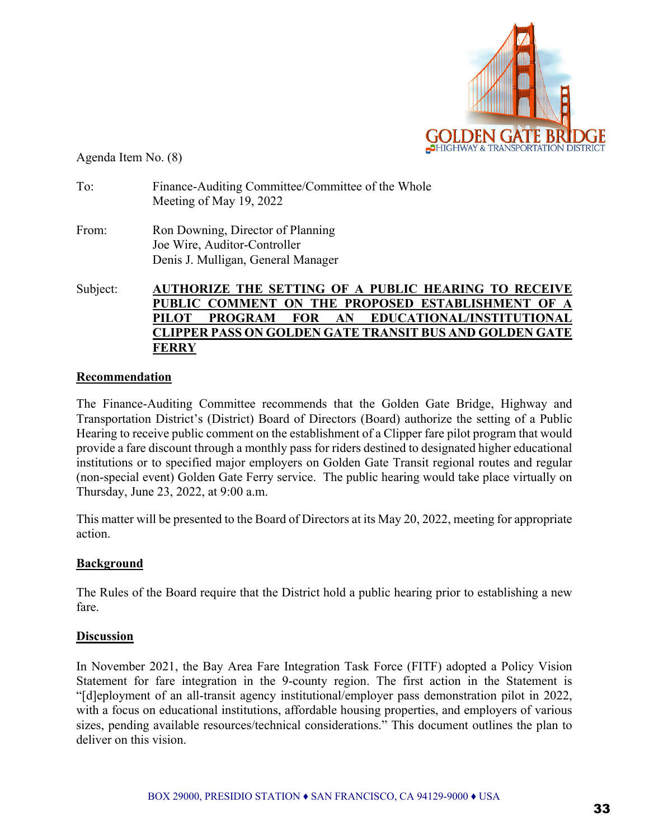

Agenda Item No. (8)

| To: | Finance-Auditing Committee/Committee of the Whole |
|-----|---------------------------------------------------|
|     | Meeting of May 19, 2022                           |

From: Ron Downing, Director of Planning Joe Wire, Auditor-Controller Denis J. Mulligan, General Manager

#### Subject: **AUTHORIZE THE SETTING OF A PUBLIC HEARING TO RECEIVE PUBLIC COMMENT ON THE PROPOSED ESTABLISHMENT OF A PILOT PROGRAM FOR AN EDUCATIONAL/INSTITUTIONAL CLIPPER PASS ON GOLDEN GATE TRANSIT BUS AND GOLDEN GATE FERRY**

#### **Recommendation**

The Finance-Auditing Committee recommends that the Golden Gate Bridge, Highway and Transportation District's (District) Board of Directors (Board) authorize the setting of a Public Hearing to receive public comment on the establishment of a Clipper fare pilot program that would provide a fare discount through a monthly pass for riders destined to designated higher educational institutions or to specified major employers on Golden Gate Transit regional routes and regular (non-special event) Golden Gate Ferry service. The public hearing would take place virtually on Thursday, June 23, 2022, at 9:00 a.m.

This matter will be presented to the Board of Directors at its May 20, 2022, meeting for appropriate action.

### **Background**

The Rules of the Board require that the District hold a public hearing prior to establishing a new fare.

#### **Discussion**

In November 2021, the Bay Area Fare Integration Task Force (FITF) adopted a Policy Vision Statement for fare integration in the 9-county region. The first action in the Statement is "[d]eployment of an all-transit agency institutional/employer pass demonstration pilot in 2022, with a focus on educational institutions, affordable housing properties, and employers of various sizes, pending available resources/technical considerations." This document outlines the plan to deliver on this vision.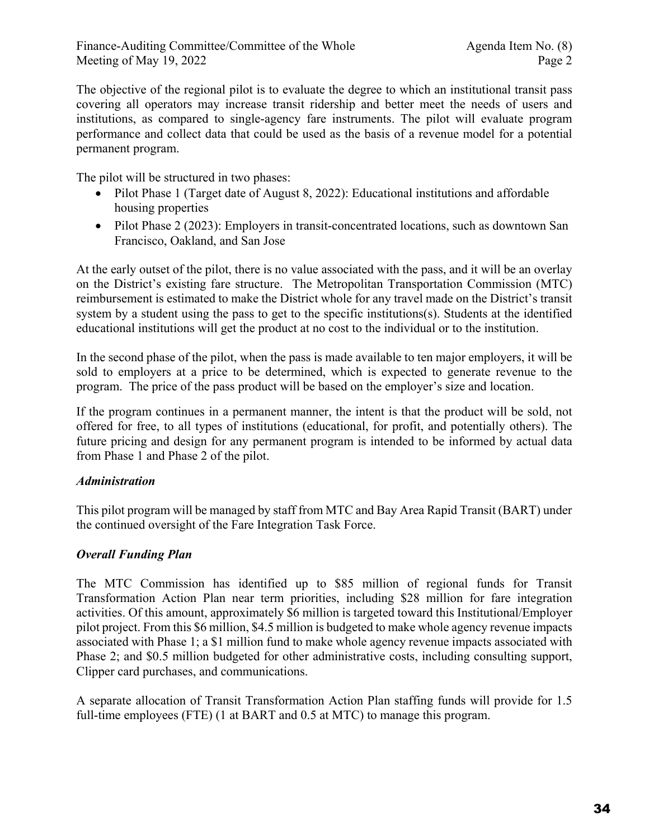The objective of the regional pilot is to evaluate the degree to which an institutional transit pass covering all operators may increase transit ridership and better meet the needs of users and institutions, as compared to single-agency fare instruments. The pilot will evaluate program performance and collect data that could be used as the basis of a revenue model for a potential permanent program.

The pilot will be structured in two phases:

- Pilot Phase 1 (Target date of August 8, 2022): Educational institutions and affordable housing properties
- Pilot Phase 2 (2023): Employers in transit-concentrated locations, such as downtown San Francisco, Oakland, and San Jose

At the early outset of the pilot, there is no value associated with the pass, and it will be an overlay on the District's existing fare structure. The Metropolitan Transportation Commission (MTC) reimbursement is estimated to make the District whole for any travel made on the District's transit system by a student using the pass to get to the specific institutions(s). Students at the identified educational institutions will get the product at no cost to the individual or to the institution.

In the second phase of the pilot, when the pass is made available to ten major employers, it will be sold to employers at a price to be determined, which is expected to generate revenue to the program. The price of the pass product will be based on the employer's size and location.

If the program continues in a permanent manner, the intent is that the product will be sold, not offered for free, to all types of institutions (educational, for profit, and potentially others). The future pricing and design for any permanent program is intended to be informed by actual data from Phase 1 and Phase 2 of the pilot.

# *Administration*

This pilot program will be managed by staff from MTC and Bay Area Rapid Transit (BART) under the continued oversight of the Fare Integration Task Force.

# *Overall Funding Plan*

The MTC Commission has identified up to \$85 million of regional funds for Transit Transformation Action Plan near term priorities, including \$28 million for fare integration activities. Of this amount, approximately \$6 million is targeted toward this Institutional/Employer pilot project. From this \$6 million, \$4.5 million is budgeted to make whole agency revenue impacts associated with Phase 1; a \$1 million fund to make whole agency revenue impacts associated with Phase 2; and \$0.5 million budgeted for other administrative costs, including consulting support, Clipper card purchases, and communications.

A separate allocation of Transit Transformation Action Plan staffing funds will provide for 1.5 full-time employees (FTE) (1 at BART and 0.5 at MTC) to manage this program.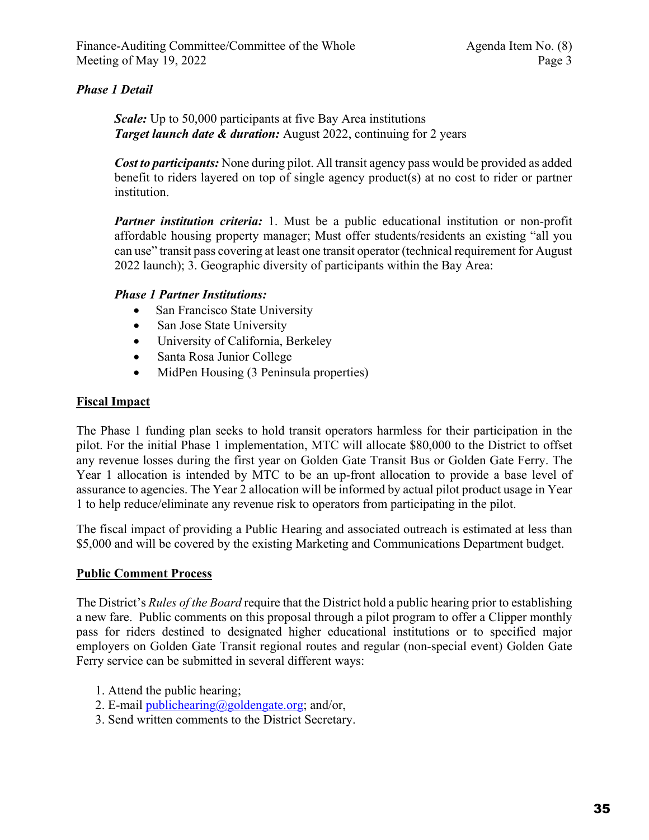### *Phase 1 Detail*

*Scale:* Up to 50,000 participants at five Bay Area institutions *Target launch date & duration:* August 2022, continuing for 2 years

*Cost to participants:* None during pilot. All transit agency pass would be provided as added benefit to riders layered on top of single agency product(s) at no cost to rider or partner institution.

*Partner institution criteria:* 1. Must be a public educational institution or non-profit affordable housing property manager; Must offer students/residents an existing "all you can use" transit pass covering at least one transit operator (technical requirement for August 2022 launch); 3. Geographic diversity of participants within the Bay Area:

### *Phase 1 Partner Institutions:*

- San Francisco State University
- San Jose State University
- University of California, Berkeley
- Santa Rosa Junior College
- MidPen Housing (3 Peninsula properties)

# **Fiscal Impact**

The Phase 1 funding plan seeks to hold transit operators harmless for their participation in the pilot. For the initial Phase 1 implementation, MTC will allocate \$80,000 to the District to offset any revenue losses during the first year on Golden Gate Transit Bus or Golden Gate Ferry. The Year 1 allocation is intended by MTC to be an up-front allocation to provide a base level of assurance to agencies. The Year 2 allocation will be informed by actual pilot product usage in Year 1 to help reduce/eliminate any revenue risk to operators from participating in the pilot.

The fiscal impact of providing a Public Hearing and associated outreach is estimated at less than \$5,000 and will be covered by the existing Marketing and Communications Department budget.

### **Public Comment Process**

The District's *Rules of the Board* require that the District hold a public hearing prior to establishing a new fare. Public comments on this proposal through a pilot program to offer a Clipper monthly pass for riders destined to designated higher educational institutions or to specified major employers on Golden Gate Transit regional routes and regular (non-special event) Golden Gate Ferry service can be submitted in several different ways:

- 1. Attend the public hearing;
- 2. E-mail publichearing@goldengate.org; and/or,
- 3. Send written comments to the District Secretary.